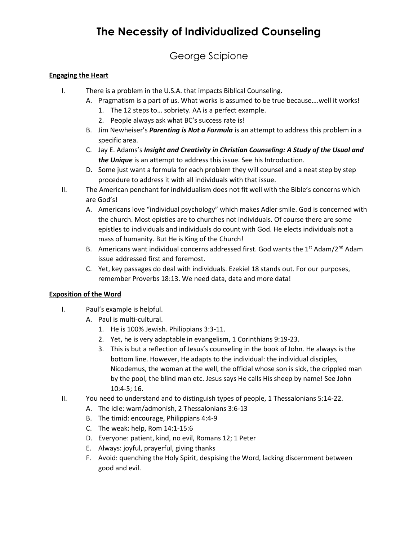## **The Necessity of Individualized Counseling**

### George Scipione

#### **Engaging the Heart**

- I. There is a problem in the U.S.A. that impacts Biblical Counseling.
	- A. Pragmatism is a part of us. What works is assumed to be true because….well it works!
		- 1. The 12 steps to… sobriety. AA is a perfect example.
		- 2. People always ask what BC's success rate is!
	- B. Jim Newheiser's *Parenting is Not a Formula* is an attempt to address this problem in a specific area.
	- C. Jay E. Adams's *Insight and Creativity in Christian Counseling: A Study of the Usual and the Unique* is an attempt to address this issue. See his Introduction.
	- D. Some just want a formula for each problem they will counsel and a neat step by step procedure to address it with all individuals with that issue.
- II. The American penchant for individualism does not fit well with the Bible's concerns which are God's!
	- A. Americans love "individual psychology" which makes Adler smile. God is concerned with the church. Most epistles are to churches not individuals. Of course there are some epistles to individuals and individuals do count with God. He elects individuals not a mass of humanity. But He is King of the Church!
	- B. Americans want individual concerns addressed first. God wants the 1st Adam/2<sup>nd</sup> Adam issue addressed first and foremost.
	- C. Yet, key passages do deal with individuals. Ezekiel 18 stands out. For our purposes, remember Proverbs 18:13. We need data, data and more data!

#### **Exposition of the Word**

- I. Paul's example is helpful.
	- A. Paul is multi-cultural.
		- 1. He is 100% Jewish. Philippians 3:3-11.
		- 2. Yet, he is very adaptable in evangelism, 1 Corinthians 9:19-23.
		- 3. This is but a reflection of Jesus's counseling in the book of John. He always is the bottom line. However, He adapts to the individual: the individual disciples, Nicodemus, the woman at the well, the official whose son is sick, the crippled man by the pool, the blind man etc. Jesus says He calls His sheep by name! See John 10:4-5; 16.
- II. You need to understand and to distinguish types of people, 1 Thessalonians 5:14-22.
	- A. The idle: warn/admonish, 2 Thessalonians 3:6-13
	- B. The timid: encourage, Philippians 4:4-9
	- C. The weak: help, Rom 14:1-15:6
	- D. Everyone: patient, kind, no evil, Romans 12; 1 Peter
	- E. Always: joyful, prayerful, giving thanks
	- F. Avoid: quenching the Holy Spirit, despising the Word, lacking discernment between good and evil.